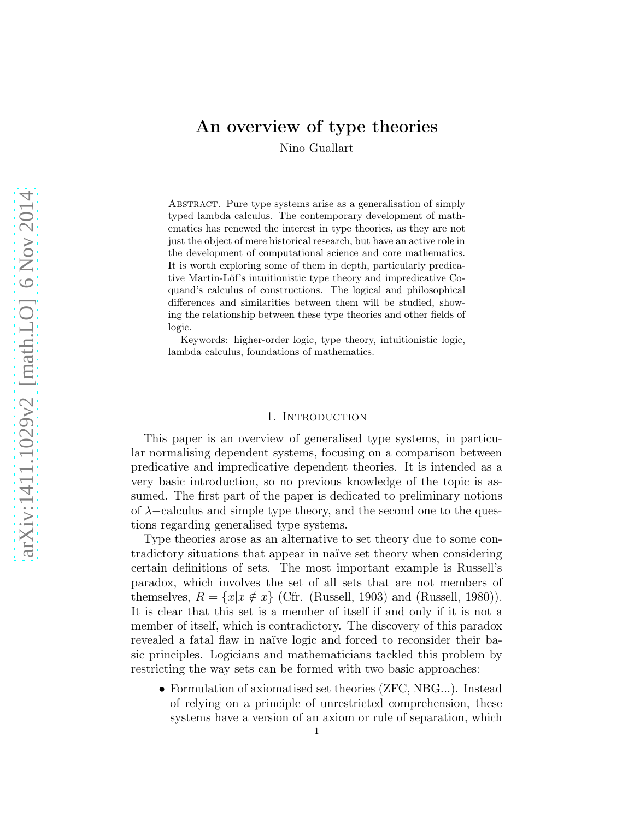# An overview of type theories

Nino Guallart

Abstract. Pure type systems arise as a generalisation of simply typed lambda calculus. The contemporary development of mathematics has renewed the interest in type theories, as they are not just the object of mere historical research, but have an active role in the development of computational science and core mathematics. It is worth exploring some of them in depth, particularly predicative Martin-Löf's intuitionistic type theory and impredicative Coquand's calculus of constructions. The logical and philosophical differences and similarities between them will be studied, showing the relationship between these type theories and other fields of logic.

Keywords: higher-order logic, type theory, intuitionistic logic, lambda calculus, foundations of mathematics.

## 1. INTRODUCTION

This paper is an overview of generalised type systems, in particular normalising dependent systems, focusing on a comparison between predicative and impredicative dependent theories. It is intended as a very basic introduction, so no previous knowledge of the topic is assumed. The first part of the paper is dedicated to preliminary notions of  $\lambda$ -calculus and simple type theory, and the second one to the questions regarding generalised type systems.

Type theories arose as an alternative to set theory due to some contradictory situations that appear in naïve set theory when considering certain definitions of sets. The most important example is Russell's paradox, which involves the set of all sets that are not members of themselves,  $R = \{x | x \notin x\}$  (Cfr. (Russell, 1903) and (Russell, 1980)). It is clear that this set is a member of itself if and only if it is not a member of itself, which is contradictory. The discovery of this paradox revealed a fatal flaw in naïve logic and forced to reconsider their basic principles. Logicians and mathematicians tackled this problem by restricting the way sets can be formed with two basic approaches:

• Formulation of axiomatised set theories (ZFC, NBG...). Instead of relying on a principle of unrestricted comprehension, these systems have a version of an axiom or rule of separation, which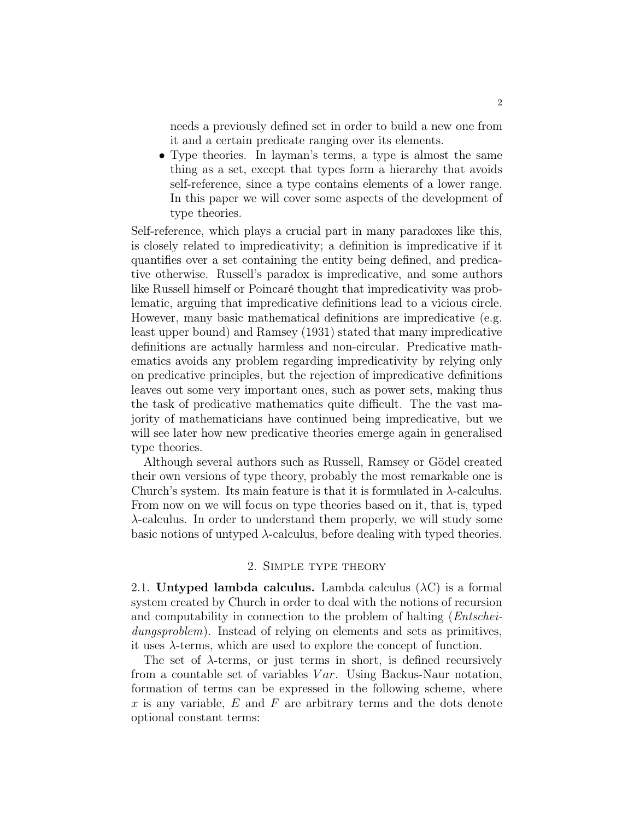needs a previously defined set in order to build a new one from it and a certain predicate ranging over its elements.

• Type theories. In layman's terms, a type is almost the same thing as a set, except that types form a hierarchy that avoids self-reference, since a type contains elements of a lower range. In this paper we will cover some aspects of the development of type theories.

Self-reference, which plays a crucial part in many paradoxes like this, is closely related to impredicativity; a definition is impredicative if it quantifies over a set containing the entity being defined, and predicative otherwise. Russell's paradox is impredicative, and some authors like Russell himself or Poincaré thought that impredicativity was problematic, arguing that impredicative definitions lead to a vicious circle. However, many basic mathematical definitions are impredicative (e.g. least upper bound) and Ramsey (1931) stated that many impredicative definitions are actually harmless and non-circular. Predicative mathematics avoids any problem regarding impredicativity by relying only on predicative principles, but the rejection of impredicative definitions leaves out some very important ones, such as power sets, making thus the task of predicative mathematics quite difficult. The the vast majority of mathematicians have continued being impredicative, but we will see later how new predicative theories emerge again in generalised type theories.

Although several authors such as Russell, Ramsey or Gödel created their own versions of type theory, probably the most remarkable one is Church's system. Its main feature is that it is formulated in  $\lambda$ -calculus. From now on we will focus on type theories based on it, that is, typed λ-calculus. In order to understand them properly, we will study some basic notions of untyped  $\lambda$ -calculus, before dealing with typed theories.

### 2. Simple type theory

2.1. Untyped lambda calculus. Lambda calculus  $(\lambda C)$  is a formal system created by Church in order to deal with the notions of recursion and computability in connection to the problem of halting (*Entschei*dungsproblem). Instead of relying on elements and sets as primitives, it uses  $\lambda$ -terms, which are used to explore the concept of function.

The set of  $\lambda$ -terms, or just terms in short, is defined recursively from a countable set of variables  $Var$ . Using Backus-Naur notation, formation of terms can be expressed in the following scheme, where x is any variable,  $E$  and  $F$  are arbitrary terms and the dots denote optional constant terms: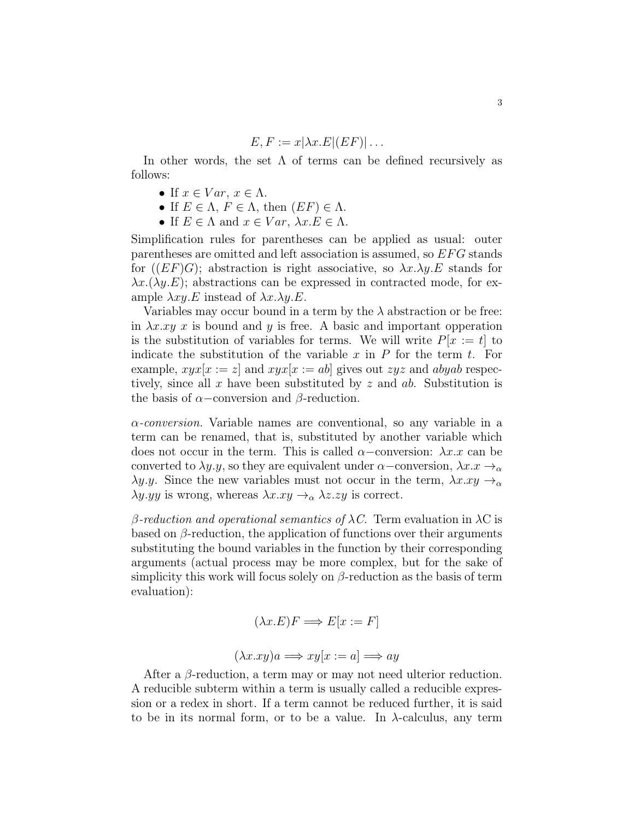$$
E, F := x | \lambda x . E | (EF) | \dots
$$

In other words, the set  $\Lambda$  of terms can be defined recursively as follows:

- If  $x \in Var$ ,  $x \in \Lambda$ .
- If  $E \in \Lambda$ ,  $F \in \Lambda$ , then  $(EF) \in \Lambda$ .
- If  $E \in \Lambda$  and  $x \in Var$ ,  $\lambda x.E \in \Lambda$ .

Simplification rules for parentheses can be applied as usual: outer parentheses are omitted and left association is assumed, so EF G stands for  $((EF)G)$ ; abstraction is right associative, so  $\lambda x.\lambda y.E$  stands for  $\lambda x.(\lambda y.E)$ ; abstractions can be expressed in contracted mode, for example  $\lambda xy.E$  instead of  $\lambda x.\lambda y.E$ .

Variables may occur bound in a term by the  $\lambda$  abstraction or be free: in  $\lambda x . xy x$  is bound and y is free. A basic and important opperation is the substitution of variables for terms. We will write  $P[x := t]$  to indicate the substitution of the variable x in  $P$  for the term t. For example,  $xyx[x := z]$  and  $xyx[x := ab]$  gives out  $zyz$  and abyab respectively, since all x have been substituted by z and  $ab$ . Substitution is the basis of  $\alpha$ –conversion and  $\beta$ -reduction.

 $\alpha$ -conversion. Variable names are conventional, so any variable in a term can be renamed, that is, substituted by another variable which does not occur in the term. This is called  $\alpha$ –conversion:  $\lambda x.x$  can be converted to  $\lambda y.y$ , so they are equivalent under  $\alpha$ –conversion,  $\lambda x.x \rightarrow_{\alpha}$  $\lambda y. y.$  Since the new variables must not occur in the term,  $\lambda x. xy \rightarrow_\alpha$  $\lambda y.yy$  is wrong, whereas  $\lambda x.xy \rightarrow_{\alpha} \lambda z.zy$  is correct.

β-reduction and operational semantics of  $\lambda C$ . Term evaluation in  $\lambda C$  is based on  $\beta$ -reduction, the application of functions over their arguments substituting the bound variables in the function by their corresponding arguments (actual process may be more complex, but for the sake of simplicity this work will focus solely on  $\beta$ -reduction as the basis of term evaluation):

$$
(\lambda x.E)F \Longrightarrow E[x := F]
$$

$$
(\lambda x. xy)a \Longrightarrow xy[x := a] \Longrightarrow ay
$$

After a  $\beta$ -reduction, a term may or may not need ulterior reduction. A reducible subterm within a term is usually called a reducible expression or a redex in short. If a term cannot be reduced further, it is said to be in its normal form, or to be a value. In  $\lambda$ -calculus, any term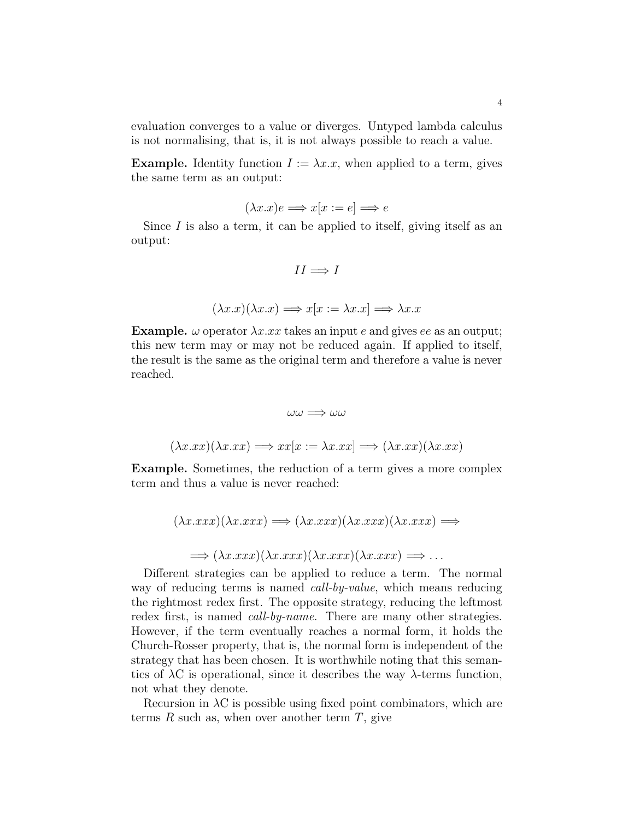evaluation converges to a value or diverges. Untyped lambda calculus is not normalising, that is, it is not always possible to reach a value.

**Example.** Identity function  $I := \lambda x.x$ , when applied to a term, gives the same term as an output:

$$
(\lambda x.x)e \Longrightarrow x[x := e] \Longrightarrow e
$$

Since  $I$  is also a term, it can be applied to itself, giving itself as an output:

$$
II \Longrightarrow I
$$

$$
(\lambda x.x)(\lambda x.x) \Longrightarrow x[x := \lambda x.x] \Longrightarrow \lambda x.x
$$

**Example.**  $\omega$  operator  $\lambda x . x x$  takes an input e and gives ee as an output; this new term may or may not be reduced again. If applied to itself, the result is the same as the original term and therefore a value is never reached.

$$
\omega \omega \Longrightarrow \omega \omega
$$
  

$$
(\lambda x.xx)(\lambda x.xx) \Longrightarrow xx[x := \lambda x.xx] \Longrightarrow (\lambda x.xx)(\lambda x.xx)
$$

Example. Sometimes, the reduction of a term gives a more complex term and thus a value is never reached:

$$
(\lambda x.xxx)(\lambda x.xxx) \Longrightarrow (\lambda x.xxx)(\lambda x.xxx)(\lambda x.xxx) \Longrightarrow
$$

$$
\Longrightarrow (\lambda x.xxx)(\lambda x.xxx)(\lambda x.xxx)(\lambda x.xxx) \Longrightarrow ...
$$

Different strategies can be applied to reduce a term. The normal way of reducing terms is named *call-by-value*, which means reducing the rightmost redex first. The opposite strategy, reducing the leftmost redex first, is named *call-by-name*. There are many other strategies. However, if the term eventually reaches a normal form, it holds the Church-Rosser property, that is, the normal form is independent of the strategy that has been chosen. It is worthwhile noting that this semantics of  $\lambda$ C is operational, since it describes the way  $\lambda$ -terms function, not what they denote.

Recursion in  $\lambda$ C is possible using fixed point combinators, which are terms  $R$  such as, when over another term  $T$ , give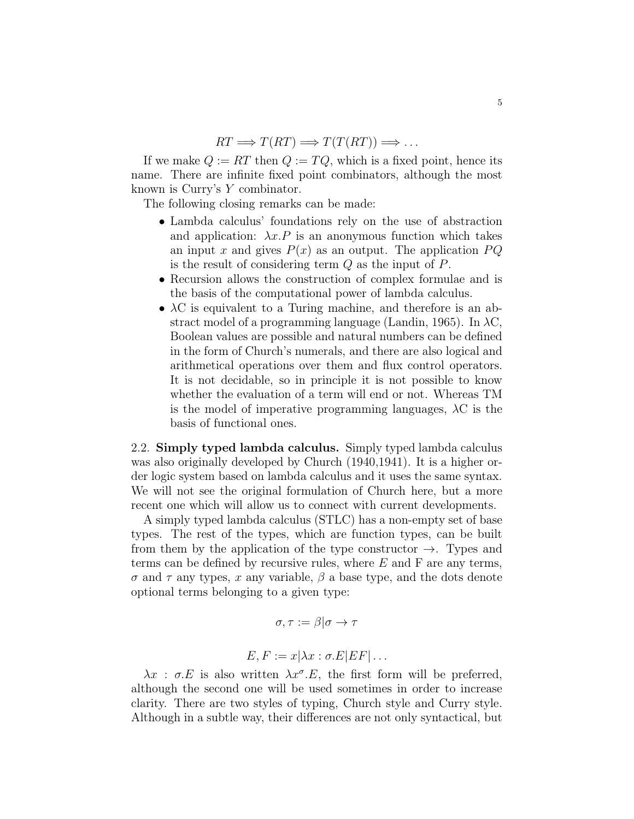$RT \Longrightarrow T(RT) \Longrightarrow T(T(RT)) \Longrightarrow \dots$ 

If we make  $Q := RT$  then  $Q := TQ$ , which is a fixed point, hence its name. There are infinite fixed point combinators, although the most known is Curry's Y combinator.

The following closing remarks can be made:

- Lambda calculus' foundations rely on the use of abstraction and application:  $\lambda x.P$  is an anonymous function which takes an input x and gives  $P(x)$  as an output. The application  $PQ$ is the result of considering term  $Q$  as the input of  $P$ .
- Recursion allows the construction of complex formulae and is the basis of the computational power of lambda calculus.
- $\lambda$ C is equivalent to a Turing machine, and therefore is an abstract model of a programming language (Landin, 1965). In  $\lambda$ C, Boolean values are possible and natural numbers can be defined in the form of Church's numerals, and there are also logical and arithmetical operations over them and flux control operators. It is not decidable, so in principle it is not possible to know whether the evaluation of a term will end or not. Whereas TM is the model of imperative programming languages,  $\lambda$ C is the basis of functional ones.

2.2. Simply typed lambda calculus. Simply typed lambda calculus was also originally developed by Church (1940,1941). It is a higher order logic system based on lambda calculus and it uses the same syntax. We will not see the original formulation of Church here, but a more recent one which will allow us to connect with current developments.

A simply typed lambda calculus (STLC) has a non-empty set of base types. The rest of the types, which are function types, can be built from them by the application of the type constructor  $\rightarrow$ . Types and terms can be defined by recursive rules, where  $E$  and  $F$  are any terms,  $\sigma$  and  $\tau$  any types, x any variable,  $\beta$  a base type, and the dots denote optional terms belonging to a given type:

$$
\sigma,\tau:=\beta|\sigma\to\tau
$$

$$
E, F := x | \lambda x : \sigma.E|EF| \dots
$$

 $\lambda x$ :  $\sigma.E$  is also written  $\lambda x^{\sigma}.E$ , the first form will be preferred, although the second one will be used sometimes in order to increase clarity. There are two styles of typing, Church style and Curry style. Although in a subtle way, their differences are not only syntactical, but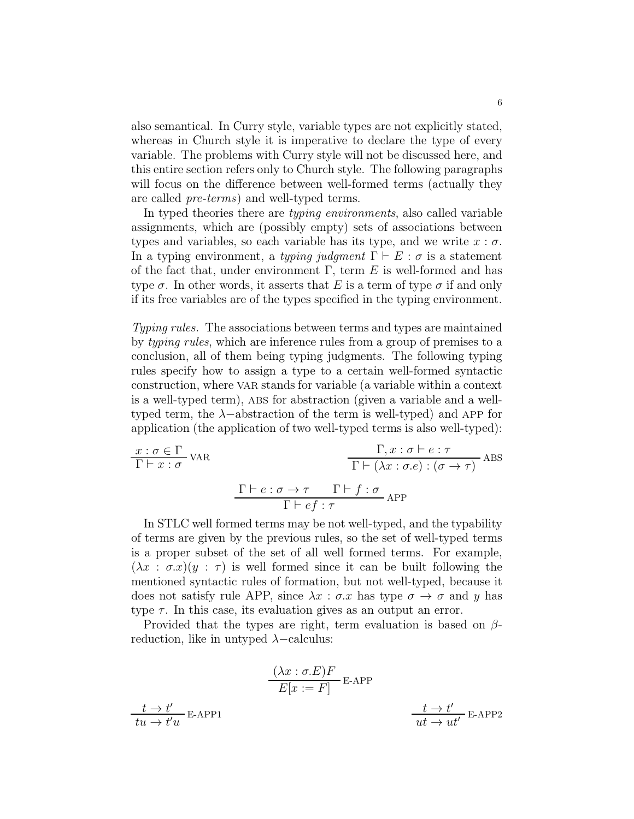also semantical. In Curry style, variable types are not explicitly stated, whereas in Church style it is imperative to declare the type of every variable. The problems with Curry style will not be discussed here, and this entire section refers only to Church style. The following paragraphs will focus on the difference between well-formed terms (actually they are called pre-terms) and well-typed terms.

In typed theories there are *typing environments*, also called variable assignments, which are (possibly empty) sets of associations between types and variables, so each variable has its type, and we write  $x : \sigma$ . In a typing environment, a typing judgment  $\Gamma \vdash E : \sigma$  is a statement of the fact that, under environment  $\Gamma$ , term E is well-formed and has type  $\sigma$ . In other words, it asserts that E is a term of type  $\sigma$  if and only if its free variables are of the types specified in the typing environment.

Typing rules. The associations between terms and types are maintained by typing rules, which are inference rules from a group of premises to a conclusion, all of them being typing judgments. The following typing rules specify how to assign a type to a certain well-formed syntactic construction, where var stands for variable (a variable within a context is a well-typed term), abs for abstraction (given a variable and a welltyped term, the  $\lambda$ -abstraction of the term is well-typed) and APP for application (the application of two well-typed terms is also well-typed):

$$
\frac{x : \sigma \in \Gamma}{\Gamma \vdash x : \sigma} \text{VAR} \qquad \qquad \frac{\Gamma, x : \sigma \vdash e : \tau}{\Gamma \vdash (\lambda x : \sigma.e) : (\sigma \to \tau)} \text{ABS}
$$
\n
$$
\frac{\Gamma \vdash e : \sigma \to \tau \qquad \Gamma \vdash f : \sigma}{\Gamma \vdash ef : \tau} \text{APP}
$$

In STLC well formed terms may be not well-typed, and the typability of terms are given by the previous rules, so the set of well-typed terms is a proper subset of the set of all well formed terms. For example,  $(\lambda x : \sigma x)(y : \tau)$  is well formed since it can be built following the mentioned syntactic rules of formation, but not well-typed, because it does not satisfy rule APP, since  $\lambda x : \sigma x$  has type  $\sigma \to \sigma$  and y has type  $\tau$ . In this case, its evaluation gives as an output an error.

Provided that the types are right, term evaluation is based on  $\beta$ reduction, like in untyped  $\lambda$  –calculus:

$$
\frac{(\lambda x : \sigma.E)F}{E[x := F]} \text{ E-APP}
$$
  

$$
\frac{t \to t'}{tu \to t'u} \text{ E-APP1}
$$
  

$$
\frac{t \to t'}{ut \to ut'} \text{ E-APP2}
$$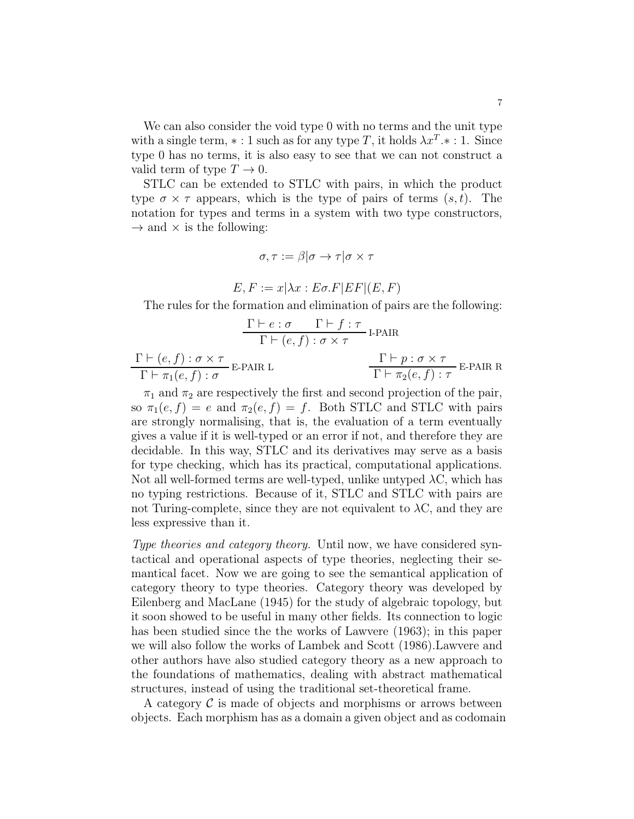We can also consider the void type 0 with no terms and the unit type with a single term,  $* : 1$  such as for any type T, it holds  $\lambda x^T.* : 1$ . Since type 0 has no terms, it is also easy to see that we can not construct a valid term of type  $T \to 0$ .

STLC can be extended to STLC with pairs, in which the product type  $\sigma \times \tau$  appears, which is the type of pairs of terms  $(s, t)$ . The notation for types and terms in a system with two type constructors,  $\rightarrow$  and  $\times$  is the following:

$$
\sigma, \tau := \beta | \sigma \to \tau | \sigma \times \tau
$$

$$
E, F := x | \lambda x : E \sigma. F | EF | (E, F)
$$

The rules for the formation and elimination of pairs are the following:

$$
\frac{\Gamma \vdash e : \sigma \qquad \Gamma \vdash f : \tau}{\Gamma \vdash (e, f) : \sigma \times \tau} \text{ I-PAIR}
$$

| $\Gamma \vdash (e, f) : \sigma \times \tau$                   | $\Gamma \vdash p : \sigma \times \tau$<br>$E-PAIR R$ |  |
|---------------------------------------------------------------|------------------------------------------------------|--|
| $\overline{E}$ -PAIR L<br>$\Gamma \vdash \pi_1(e,f) : \sigma$ | $\Gamma \vdash \pi_2(e,f): \tau$                     |  |

 $\pi_1$  and  $\pi_2$  are respectively the first and second projection of the pair, so  $\pi_1(e, f) = e$  and  $\pi_2(e, f) = f$ . Both STLC and STLC with pairs are strongly normalising, that is, the evaluation of a term eventually gives a value if it is well-typed or an error if not, and therefore they are decidable. In this way, STLC and its derivatives may serve as a basis for type checking, which has its practical, computational applications. Not all well-formed terms are well-typed, unlike untyped  $\lambda$ C, which has no typing restrictions. Because of it, STLC and STLC with pairs are not Turing-complete, since they are not equivalent to  $\lambda$ C, and they are less expressive than it.

Type theories and category theory. Until now, we have considered syntactical and operational aspects of type theories, neglecting their semantical facet. Now we are going to see the semantical application of category theory to type theories. Category theory was developed by Eilenberg and MacLane (1945) for the study of algebraic topology, but it soon showed to be useful in many other fields. Its connection to logic has been studied since the the works of Lawvere (1963); in this paper we will also follow the works of Lambek and Scott (1986).Lawvere and other authors have also studied category theory as a new approach to the foundations of mathematics, dealing with abstract mathematical structures, instead of using the traditional set-theoretical frame.

A category  $\mathcal C$  is made of objects and morphisms or arrows between objects. Each morphism has as a domain a given object and as codomain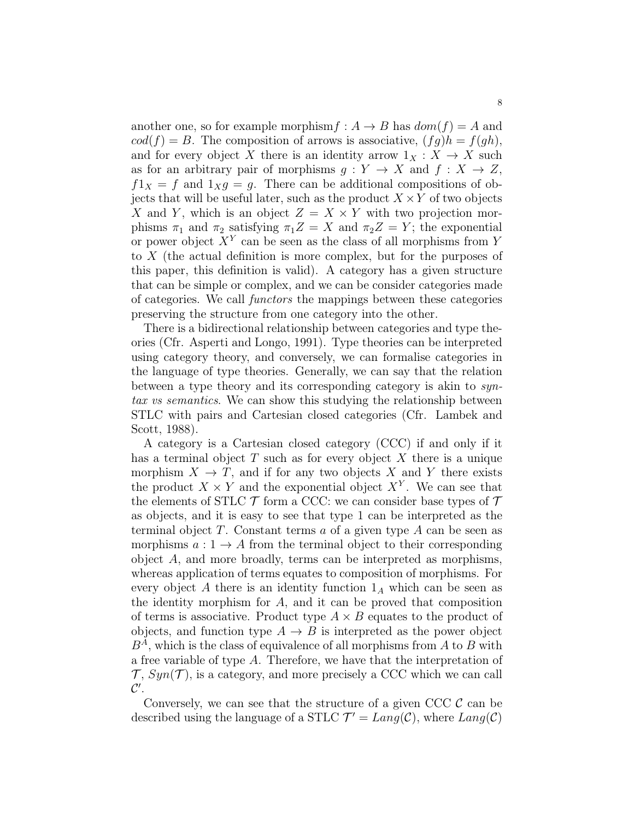another one, so for example morphism  $f : A \rightarrow B$  has  $dom(f) = A$  and  $cod(f) = B$ . The composition of arrows is associative,  $(fg)h = f(gh)$ , and for every object X there is an identity arrow  $1_X : X \to X$  such as for an arbitrary pair of morphisms  $g: Y \to X$  and  $f: X \to Z$ ,  $f1_X = f$  and  $1_X g = g$ . There can be additional compositions of objects that will be useful later, such as the product  $X \times Y$  of two objects X and Y, which is an object  $Z = X \times Y$  with two projection morphisms  $\pi_1$  and  $\pi_2$  satisfying  $\pi_1 Z = X$  and  $\pi_2 Z = Y$ ; the exponential or power object  $X^Y$  can be seen as the class of all morphisms from Y to X (the actual definition is more complex, but for the purposes of this paper, this definition is valid). A category has a given structure that can be simple or complex, and we can be consider categories made of categories. We call functors the mappings between these categories preserving the structure from one category into the other.

There is a bidirectional relationship between categories and type theories (Cfr. Asperti and Longo, 1991). Type theories can be interpreted using category theory, and conversely, we can formalise categories in the language of type theories. Generally, we can say that the relation between a type theory and its corresponding category is akin to syntax vs semantics. We can show this studying the relationship between STLC with pairs and Cartesian closed categories (Cfr. Lambek and Scott, 1988).

A category is a Cartesian closed category (CCC) if and only if it has a terminal object  $T$  such as for every object  $X$  there is a unique morphism  $X \to T$ , and if for any two objects X and Y there exists the product  $X \times Y$  and the exponential object  $X^Y$ . We can see that the elements of STLC  $\mathcal T$  form a CCC: we can consider base types of  $\mathcal T$ as objects, and it is easy to see that type 1 can be interpreted as the terminal object  $T$ . Constant terms  $a$  of a given type  $A$  can be seen as morphisms  $a: 1 \rightarrow A$  from the terminal object to their corresponding object A, and more broadly, terms can be interpreted as morphisms, whereas application of terms equates to composition of morphisms. For every object A there is an identity function  $1_A$  which can be seen as the identity morphism for A, and it can be proved that composition of terms is associative. Product type  $A \times B$  equates to the product of objects, and function type  $A \to B$  is interpreted as the power object  $B<sup>A</sup>$ , which is the class of equivalence of all morphisms from A to B with a free variable of type A. Therefore, we have that the interpretation of  $\mathcal{T}, \text{Syn}(\mathcal{T})$ , is a category, and more precisely a CCC which we can call  $\mathcal{C}^{\prime}.$ 

Conversely, we can see that the structure of a given CCC  $\mathcal{C}$  can be described using the language of a STLC  $\mathcal{T}' = \text{Lang}(\mathcal{C})$ , where  $\text{Lang}(\mathcal{C})$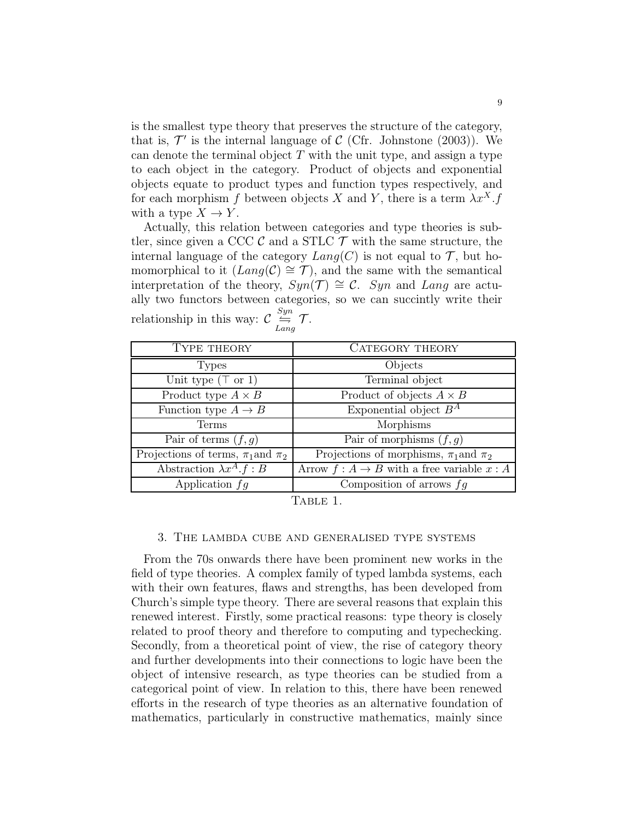is the smallest type theory that preserves the structure of the category, that is,  $\mathcal{T}'$  is the internal language of  $\mathcal{C}$  (Cfr. Johnstone (2003)). We can denote the terminal object  $T$  with the unit type, and assign a type to each object in the category. Product of objects and exponential objects equate to product types and function types respectively, and for each morphism f between objects X and Y, there is a term  $\lambda x^X$ .f with a type  $X \to Y$ .

Actually, this relation between categories and type theories is subtler, since given a CCC  $\mathcal C$  and a STLC  $\mathcal T$  with the same structure, the internal language of the category  $Lang(C)$  is not equal to  $\mathcal T$ , but homomorphical to it  $(Lang(\mathcal{C}) \cong \mathcal{T})$ , and the same with the semantical interpretation of the theory,  $Syn(\mathcal{T}) \cong C$ . Syn and Lang are actually two functors between categories, so we can succintly write their relationship in this way:  $\mathcal{C} \stackrel{Syn}{\rightleftharpoons}$  $\stackrel{\sim}{\models}_{Lang} \mathcal{T}.$ 

| TYPE THEORY                               | CATEGORY THEORY                                |
|-------------------------------------------|------------------------------------------------|
| <b>Types</b>                              | Objects                                        |
| Unit type $(T \text{ or } 1)$             | Terminal object                                |
| Product type $A \times B$                 | Product of objects $A \times B$                |
| Function type $A \rightarrow B$           | Exponential object $B^A$                       |
| Terms                                     | Morphisms                                      |
| Pair of terms $(f, g)$                    | Pair of morphisms $(f, g)$                     |
| Projections of terms, $\pi_1$ and $\pi_2$ | Projections of morphisms, $\pi_1$ and $\pi_2$  |
| Abstraction $\lambda x^A \cdot f : B$     | Arrow $f: A \to B$ with a free variable $x: A$ |
| Application $f\overline{q}$               | Composition of arrows $fg$                     |

Table 1.

#### 3. The lambda cube and generalised type systems

From the 70s onwards there have been prominent new works in the field of type theories. A complex family of typed lambda systems, each with their own features, flaws and strengths, has been developed from Church's simple type theory. There are several reasons that explain this renewed interest. Firstly, some practical reasons: type theory is closely related to proof theory and therefore to computing and typechecking. Secondly, from a theoretical point of view, the rise of category theory and further developments into their connections to logic have been the object of intensive research, as type theories can be studied from a categorical point of view. In relation to this, there have been renewed efforts in the research of type theories as an alternative foundation of mathematics, particularly in constructive mathematics, mainly since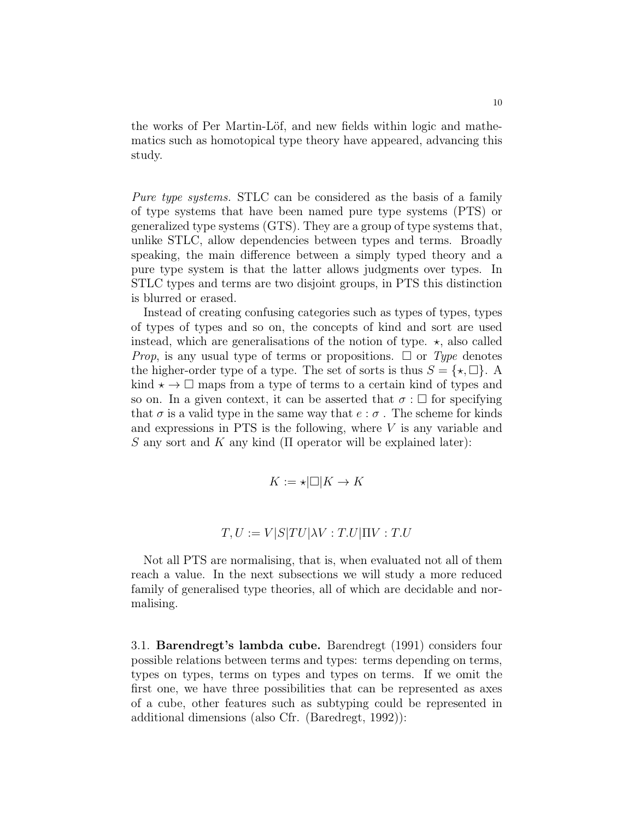the works of Per Martin-Löf, and new fields within logic and mathematics such as homotopical type theory have appeared, advancing this study.

Pure type systems. STLC can be considered as the basis of a family of type systems that have been named pure type systems (PTS) or generalized type systems (GTS). They are a group of type systems that, unlike STLC, allow dependencies between types and terms. Broadly speaking, the main difference between a simply typed theory and a pure type system is that the latter allows judgments over types. In STLC types and terms are two disjoint groups, in PTS this distinction is blurred or erased.

Instead of creating confusing categories such as types of types, types of types of types and so on, the concepts of kind and sort are used instead, which are generalisations of the notion of type.  $\star$ , also called *Prop*, is any usual type of terms or propositions.  $\Box$  or Type denotes the higher-order type of a type. The set of sorts is thus  $S = \{ \star, \Box \}.$  A kind  $\star \rightarrow \square$  maps from a type of terms to a certain kind of types and so on. In a given context, it can be asserted that  $\sigma : \Box$  for specifying that  $\sigma$  is a valid type in the same way that  $e : \sigma$ . The scheme for kinds and expressions in PTS is the following, where V is any variable and S any sort and K any kind ( $\Pi$  operator will be explained later):

$$
K:=\star|\Box|K\to K
$$

$$
T, U := V|S|TU|\lambda V : T.U|\Pi V : T.U
$$

Not all PTS are normalising, that is, when evaluated not all of them reach a value. In the next subsections we will study a more reduced family of generalised type theories, all of which are decidable and normalising.

3.1. Barendregt's lambda cube. Barendregt (1991) considers four possible relations between terms and types: terms depending on terms, types on types, terms on types and types on terms. If we omit the first one, we have three possibilities that can be represented as axes of a cube, other features such as subtyping could be represented in additional dimensions (also Cfr. (Baredregt, 1992)):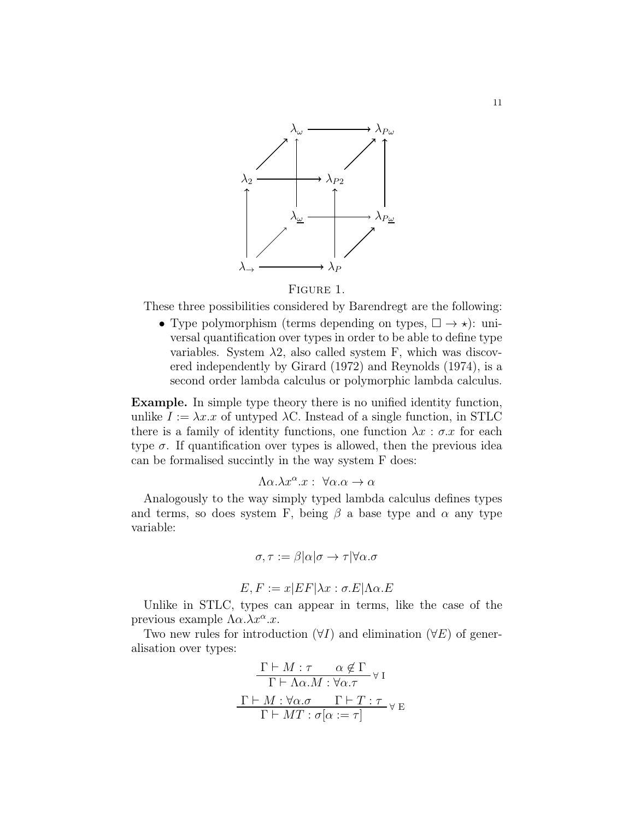

# Figure 1.

These three possibilities considered by Barendregt are the following:

• Type polymorphism (terms depending on types,  $\Box \rightarrow \star$ ): universal quantification over types in order to be able to define type variables. System  $\lambda$ 2, also called system F, which was discovered independently by Girard (1972) and Reynolds (1974), is a second order lambda calculus or polymorphic lambda calculus.

Example. In simple type theory there is no unified identity function, unlike  $I := \lambda x \cdot x$  of untyped  $\lambda C$ . Instead of a single function, in STLC there is a family of identity functions, one function  $\lambda x : \sigma x$  for each type  $\sigma$ . If quantification over types is allowed, then the previous idea can be formalised succintly in the way system F does:

$$
\Lambda \alpha . \lambda x^{\alpha} . x : \ \forall \alpha . \alpha \to \alpha
$$

Analogously to the way simply typed lambda calculus defines types and terms, so does system F, being  $\beta$  a base type and  $\alpha$  any type variable:

$$
\sigma, \tau := \beta|\alpha|\sigma \to \tau|\forall \alpha.\sigma
$$

$$
E, F := x|EF|\lambda x : \sigma.E|\Lambda \alpha.E
$$

Unlike in STLC, types can appear in terms, like the case of the previous example  $\Lambda \alpha . \lambda x^{\alpha} . x$ .

Two new rules for introduction  $(\forall I)$  and elimination  $(\forall E)$  of generalisation over types:

$$
\frac{\Gamma \vdash M : \tau \quad \alpha \notin \Gamma}{\Gamma \vdash \Lambda \alpha.M : \forall \alpha.\tau} \lor \mathbf{I}
$$
\n
$$
\frac{\Gamma \vdash M : \forall \alpha.\sigma \quad \Gamma \vdash T : \tau}{\Gamma \vdash MT : \sigma[\alpha := \tau]} \lor \mathbf{E}
$$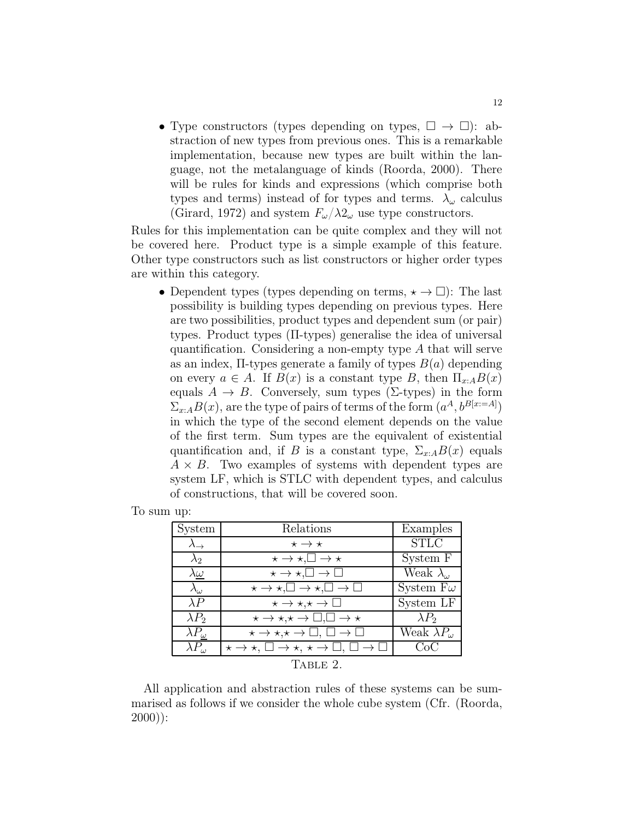• Type constructors (types depending on types,  $\square \rightarrow \square$ ): abstraction of new types from previous ones. This is a remarkable implementation, because new types are built within the language, not the metalanguage of kinds (Roorda, 2000). There will be rules for kinds and expressions (which comprise both types and terms) instead of for types and terms.  $\lambda_{\omega}$  calculus (Girard, 1972) and system  $F_{\omega}/\lambda 2_{\omega}$  use type constructors.

Rules for this implementation can be quite complex and they will not be covered here. Product type is a simple example of this feature. Other type constructors such as list constructors or higher order types are within this category.

• Dependent types (types depending on terms,  $\star \rightarrow \Box$ ): The last possibility is building types depending on previous types. Here are two possibilities, product types and dependent sum (or pair) types. Product types (Π-types) generalise the idea of universal quantification. Considering a non-empty type A that will serve as an index,  $\Pi$ -types generate a family of types  $B(a)$  depending on every  $a \in A$ . If  $B(x)$  is a constant type B, then  $\Pi_{x:A}B(x)$ equals  $A \to B$ . Conversely, sum types (Σ-types) in the form  $\Sigma_{x:A}B(x)$ , are the type of pairs of terms of the form  $(a^A, b^{B[x:=A]})$ in which the type of the second element depends on the value of the first term. Sum types are the equivalent of existential quantification and, if B is a constant type,  $\Sigma_{x:A}B(x)$  equals  $A \times B$ . Two examples of systems with dependent types are system LF, which is STLC with dependent types, and calculus of constructions, that will be covered soon.

To sum up:

| System                           | Relations                                                                    | Examples                  |
|----------------------------------|------------------------------------------------------------------------------|---------------------------|
| $\lambda \rightarrow$            | $\star \rightarrow \star$                                                    | <b>STLC</b>               |
| $\lambda_2$                      | $\star \rightarrow \star, \square \rightarrow \star$                         | System F                  |
| $\lambda \underline{\omega}$     | $\star \to \star, \square \to \square$                                       | Weak $\lambda_{\omega}$   |
| $\lambda_{\omega}$               | $\star \to \star, \square \to \star, \square \to \square$                    | System F $\omega$         |
| $\lambda P$                      | $\star \rightarrow \star, \star \rightarrow \square$                         | System LF                 |
| $\lambda P_2$                    | $\star \to \star, \star \to \Box, \Box \to \star$                            | $\lambda P_2$             |
| $\lambda P_{\underline{\omega}}$ | $\star \to \star, \star \to \square, \square \to \square$                    | Weak $\lambda P_{\omega}$ |
| $\lambda P_{\omega}$             | $\star \to \star, \square \to \star, \star \to \square, \square \to \square$ | CoC                       |
|                                  | TABLE 2.                                                                     |                           |

All application and abstraction rules of these systems can be summarised as follows if we consider the whole cube system (Cfr. (Roorda, 2000)):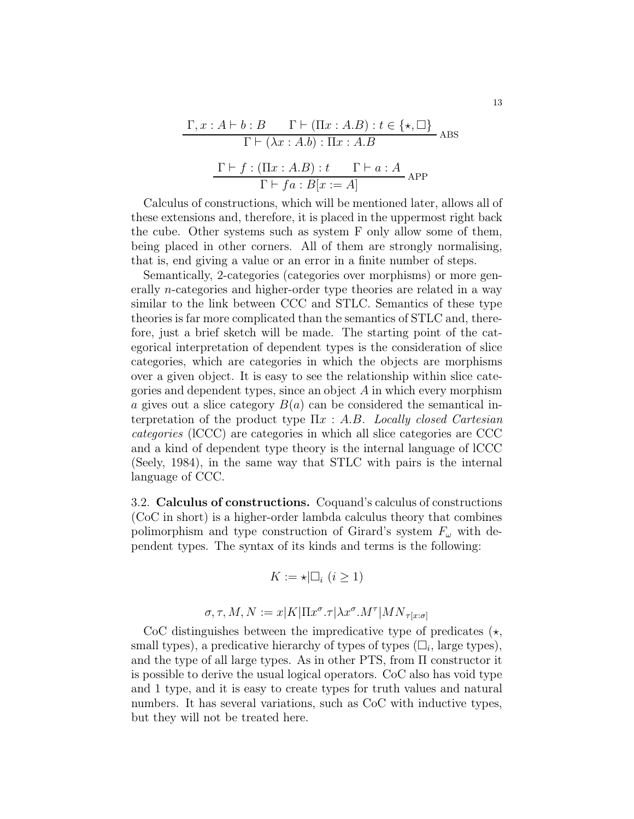$$
\frac{\Gamma, x:A \vdash b:B \qquad \Gamma \vdash (\Pi x:A.B): t \in \{\star, \Box\}}{\Gamma \vdash (\lambda x:A.b): \Pi x:A.B}
$$
ABS  

$$
\frac{\Gamma \vdash f:(\Pi x:A.B): t \qquad \Gamma \vdash a:A}{\Gamma \vdash fa:B[x:=A]} \text{APP}
$$

Calculus of constructions, which will be mentioned later, allows all of these extensions and, therefore, it is placed in the uppermost right back the cube. Other systems such as system F only allow some of them, being placed in other corners. All of them are strongly normalising, that is, end giving a value or an error in a finite number of steps.

Semantically, 2-categories (categories over morphisms) or more generally n-categories and higher-order type theories are related in a way similar to the link between CCC and STLC. Semantics of these type theories is far more complicated than the semantics of STLC and, therefore, just a brief sketch will be made. The starting point of the categorical interpretation of dependent types is the consideration of slice categories, which are categories in which the objects are morphisms over a given object. It is easy to see the relationship within slice categories and dependent types, since an object  $A$  in which every morphism a gives out a slice category  $B(a)$  can be considered the semantical interpretation of the product type  $\Pi x : A.B.$  Locally closed Cartesian categories (lCCC) are categories in which all slice categories are CCC and a kind of dependent type theory is the internal language of lCCC (Seely, 1984), in the same way that STLC with pairs is the internal language of CCC.

3.2. Calculus of constructions. Coquand's calculus of constructions (CoC in short) is a higher-order lambda calculus theory that combines polimorphism and type construction of Girard's system  $F_{\omega}$  with dependent types. The syntax of its kinds and terms is the following:

$$
K := \star | \Box_i \ (i \geq 1)
$$

$$
\sigma, \tau, M, N := x |K| \Pi x^{\sigma}.\tau |\lambda x^{\sigma}.M^{\tau}| MN_{\tau[x:\sigma]}
$$

CoC distinguishes between the impredicative type of predicates  $(\star, \star)$ small types), a predicative hierarchy of types of types  $(\Box_i)$ , large types), and the type of all large types. As in other PTS, from  $\Pi$  constructor it is possible to derive the usual logical operators. CoC also has void type and 1 type, and it is easy to create types for truth values and natural numbers. It has several variations, such as CoC with inductive types, but they will not be treated here.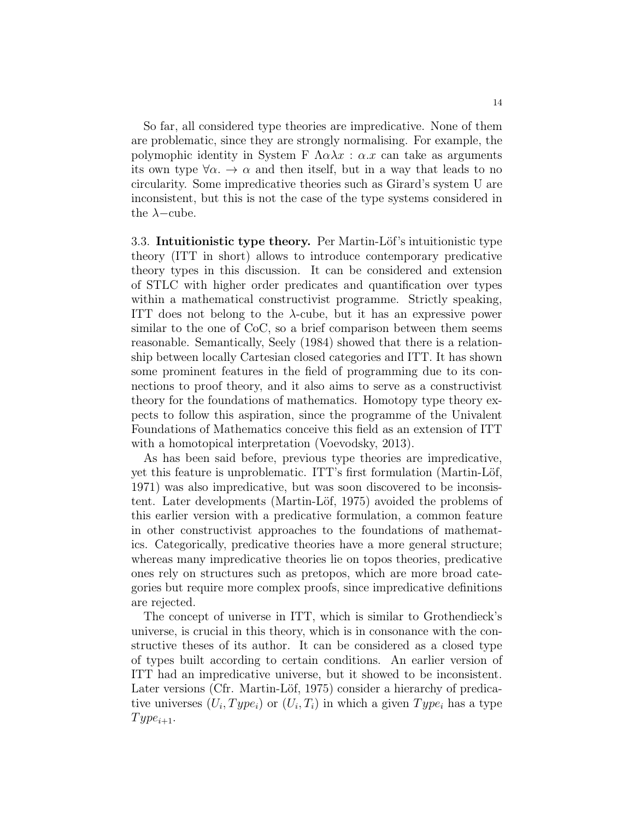So far, all considered type theories are impredicative. None of them are problematic, since they are strongly normalising. For example, the polymophic identity in System F  $\Lambda \alpha \lambda x : \alpha \cdot x$  can take as arguments its own type  $\forall \alpha$ .  $\rightarrow \alpha$  and then itself, but in a way that leads to no circularity. Some impredicative theories such as Girard's system U are inconsistent, but this is not the case of the type systems considered in the  $\lambda$ –cube.

3.3. Intuitionistic type theory. Per Martin-Löf's intuitionistic type theory (ITT in short) allows to introduce contemporary predicative theory types in this discussion. It can be considered and extension of STLC with higher order predicates and quantification over types within a mathematical constructivist programme. Strictly speaking, ITT does not belong to the  $\lambda$ -cube, but it has an expressive power similar to the one of CoC, so a brief comparison between them seems reasonable. Semantically, Seely (1984) showed that there is a relationship between locally Cartesian closed categories and ITT. It has shown some prominent features in the field of programming due to its connections to proof theory, and it also aims to serve as a constructivist theory for the foundations of mathematics. Homotopy type theory expects to follow this aspiration, since the programme of the Univalent Foundations of Mathematics conceive this field as an extension of ITT with a homotopical interpretation (Voevodsky, 2013).

As has been said before, previous type theories are impredicative, yet this feature is unproblematic. ITT's first formulation (Martin-Löf, 1971) was also impredicative, but was soon discovered to be inconsistent. Later developments (Martin-Löf, 1975) avoided the problems of this earlier version with a predicative formulation, a common feature in other constructivist approaches to the foundations of mathematics. Categorically, predicative theories have a more general structure; whereas many impredicative theories lie on topos theories, predicative ones rely on structures such as pretopos, which are more broad categories but require more complex proofs, since impredicative definitions are rejected.

The concept of universe in ITT, which is similar to Grothendieck's universe, is crucial in this theory, which is in consonance with the constructive theses of its author. It can be considered as a closed type of types built according to certain conditions. An earlier version of ITT had an impredicative universe, but it showed to be inconsistent. Later versions (Cfr. Martin-Löf, 1975) consider a hierarchy of predicative universes  $(U_i, Type_i)$  or  $(U_i, T_i)$  in which a given  $Type_i$  has a type  $Type_{i+1}.$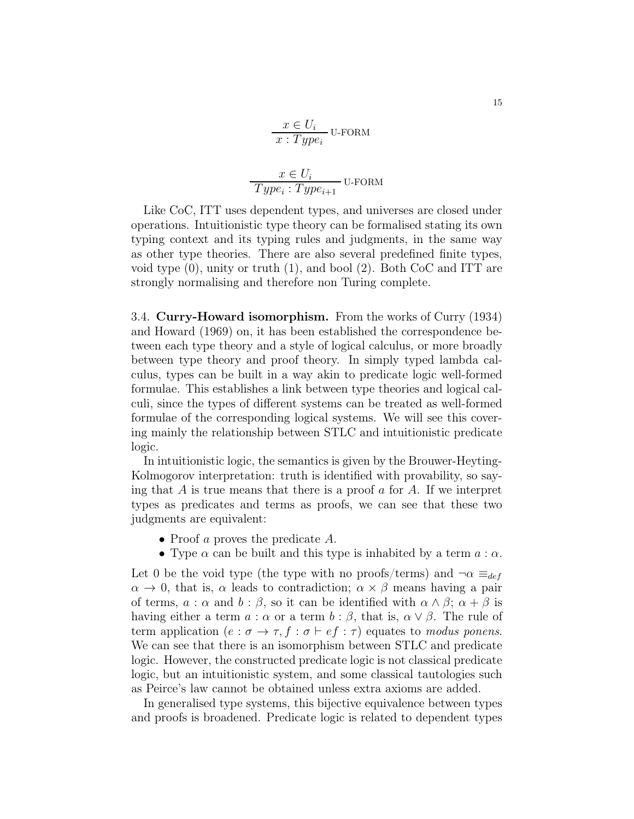$$
x \in U_i
$$
  

$$
x: Type_i
$$
U-FORM  

$$
x \in U_i
$$
  

$$
Type_i: Type_{i+1}
$$
U-FORM

Like CoC, ITT uses dependent types, and universes are closed under operations. Intuitionistic type theory can be formalised stating its own typing context and its typing rules and judgments, in the same way as other type theories. There are also several predefined finite types, void type (0), unity or truth (1), and bool (2). Both CoC and ITT are strongly normalising and therefore non Turing complete.

3.4. Curry-Howard isomorphism. From the works of Curry (1934) and Howard (1969) on, it has been established the correspondence between each type theory and a style of logical calculus, or more broadly between type theory and proof theory. In simply typed lambda calculus, types can be built in a way akin to predicate logic well-formed formulae. This establishes a link between type theories and logical calculi, since the types of different systems can be treated as well-formed formulae of the corresponding logical systems. We will see this covering mainly the relationship between STLC and intuitionistic predicate logic.

In intuitionistic logic, the semantics is given by the Brouwer-Heyting-Kolmogorov interpretation: truth is identified with provability, so saying that A is true means that there is a proof  $\alpha$  for A. If we interpret types as predicates and terms as proofs, we can see that these two judgments are equivalent:

- Proof a proves the predicate A.
- Type  $\alpha$  can be built and this type is inhabited by a term  $a : \alpha$ .

Let 0 be the void type (the type with no proofs/terms) and  $\neg \alpha \equiv_{def}$  $\alpha \to 0$ , that is,  $\alpha$  leads to contradiction;  $\alpha \times \beta$  means having a pair of terms,  $a : \alpha$  and  $b : \beta$ , so it can be identified with  $\alpha \wedge \beta$ ;  $\alpha + \beta$  is having either a term  $a : \alpha$  or a term  $b : \beta$ , that is,  $\alpha \vee \beta$ . The rule of term application  $(e : \sigma \to \tau, f : \sigma \vdash ef : \tau)$  equates to modus ponens. We can see that there is an isomorphism between STLC and predicate logic. However, the constructed predicate logic is not classical predicate logic, but an intuitionistic system, and some classical tautologies such as Peirce's law cannot be obtained unless extra axioms are added.

In generalised type systems, this bijective equivalence between types and proofs is broadened. Predicate logic is related to dependent types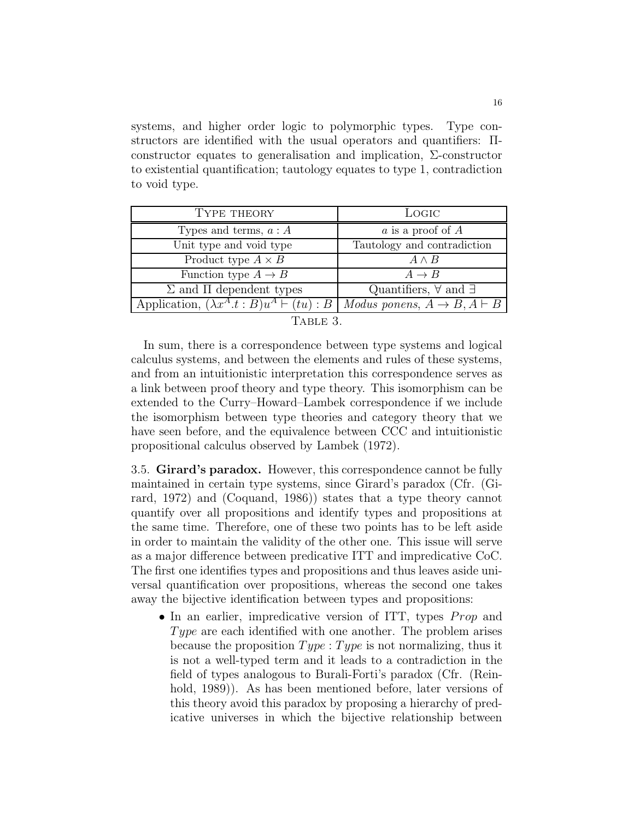systems, and higher order logic to polymorphic types. Type constructors are identified with the usual operators and quantifiers: Πconstructor equates to generalisation and implication, Σ-constructor to existential quantification; tautology equates to type 1, contradiction to void type.

| TYPE THEORY                                                 | LOGIC                                          |
|-------------------------------------------------------------|------------------------------------------------|
| Types and terms, $a : A$                                    | $\alpha$ is a proof of $A$                     |
| Unit type and void type                                     | Tautology and contradiction                    |
| Product type $A \times B$                                   | $A \wedge B$                                   |
| Function type $A \rightarrow B$                             | $A \rightarrow B$                              |
| $\Sigma$ and $\Pi$ dependent types                          | Quantifiers, $\forall$ and $\exists$           |
| Application, $(\lambda x^A \cdot t : B)u^A \vdash (tu) : B$ | Modus ponens, $A \rightarrow B$ , $A \vdash B$ |
|                                                             |                                                |

| <b>TABLE</b> |  |
|--------------|--|
|              |  |

In sum, there is a correspondence between type systems and logical calculus systems, and between the elements and rules of these systems, and from an intuitionistic interpretation this correspondence serves as a link between proof theory and type theory. This isomorphism can be extended to the Curry–Howard–Lambek correspondence if we include the isomorphism between type theories and category theory that we have seen before, and the equivalence between CCC and intuitionistic propositional calculus observed by Lambek (1972).

3.5. Girard's paradox. However, this correspondence cannot be fully maintained in certain type systems, since Girard's paradox (Cfr. (Girard, 1972) and (Coquand, 1986)) states that a type theory cannot quantify over all propositions and identify types and propositions at the same time. Therefore, one of these two points has to be left aside in order to maintain the validity of the other one. This issue will serve as a major difference between predicative ITT and impredicative CoC. The first one identifies types and propositions and thus leaves aside universal quantification over propositions, whereas the second one takes away the bijective identification between types and propositions:

• In an earlier, impredicative version of ITT, types  $Prop$  and Type are each identified with one another. The problem arises because the proposition  $Type: Type$  is not normalizing, thus it is not a well-typed term and it leads to a contradiction in the field of types analogous to Burali-Forti's paradox (Cfr. (Reinhold, 1989). As has been mentioned before, later versions of this theory avoid this paradox by proposing a hierarchy of predicative universes in which the bijective relationship between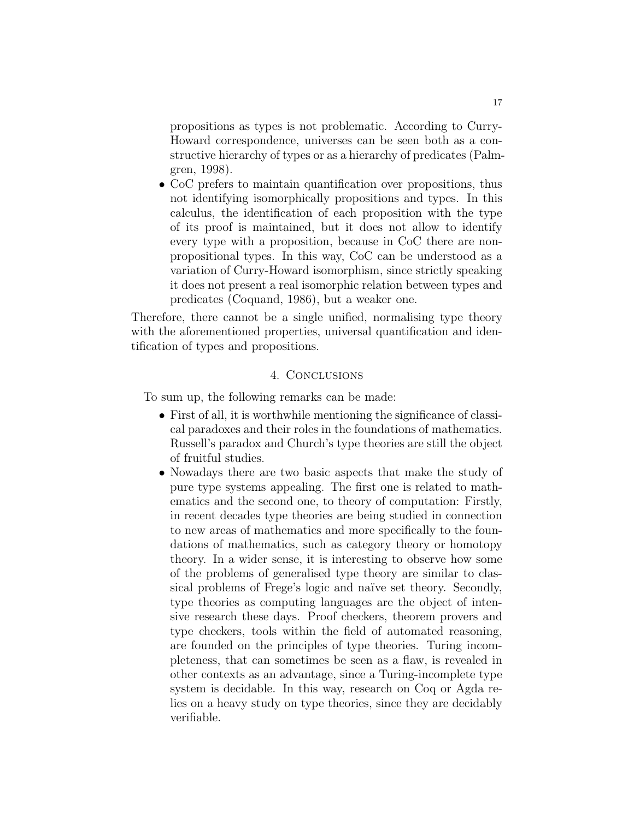propositions as types is not problematic. According to Curry-Howard correspondence, universes can be seen both as a constructive hierarchy of types or as a hierarchy of predicates (Palmgren, 1998).

• CoC prefers to maintain quantification over propositions, thus not identifying isomorphically propositions and types. In this calculus, the identification of each proposition with the type of its proof is maintained, but it does not allow to identify every type with a proposition, because in CoC there are nonpropositional types. In this way, CoC can be understood as a variation of Curry-Howard isomorphism, since strictly speaking it does not present a real isomorphic relation between types and predicates (Coquand, 1986), but a weaker one.

Therefore, there cannot be a single unified, normalising type theory with the aforementioned properties, universal quantification and identification of types and propositions.

## 4. Conclusions

To sum up, the following remarks can be made:

- First of all, it is worthwhile mentioning the significance of classical paradoxes and their roles in the foundations of mathematics. Russell's paradox and Church's type theories are still the object of fruitful studies.
- Nowadays there are two basic aspects that make the study of pure type systems appealing. The first one is related to mathematics and the second one, to theory of computation: Firstly, in recent decades type theories are being studied in connection to new areas of mathematics and more specifically to the foundations of mathematics, such as category theory or homotopy theory. In a wider sense, it is interesting to observe how some of the problems of generalised type theory are similar to classical problems of Frege's logic and naïve set theory. Secondly, type theories as computing languages are the object of intensive research these days. Proof checkers, theorem provers and type checkers, tools within the field of automated reasoning, are founded on the principles of type theories. Turing incompleteness, that can sometimes be seen as a flaw, is revealed in other contexts as an advantage, since a Turing-incomplete type system is decidable. In this way, research on Coq or Agda relies on a heavy study on type theories, since they are decidably verifiable.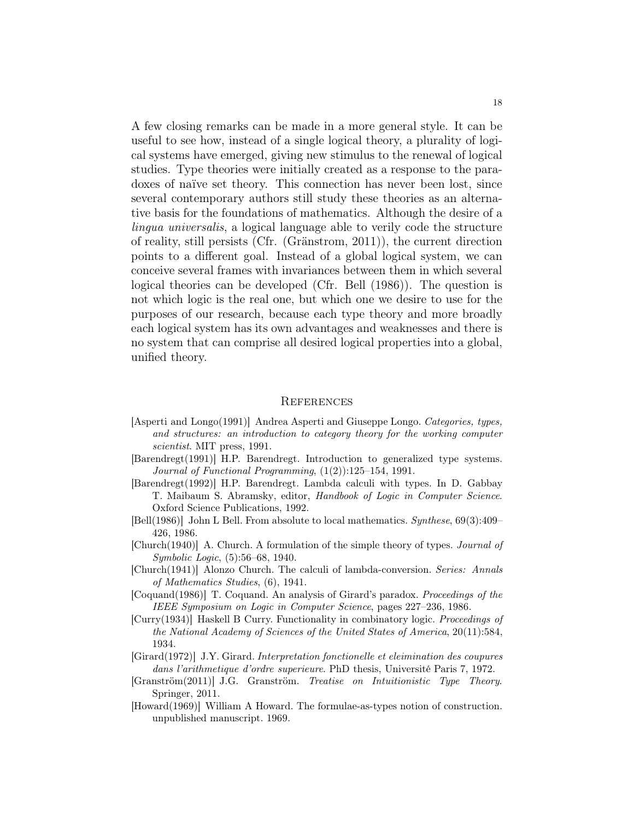A few closing remarks can be made in a more general style. It can be useful to see how, instead of a single logical theory, a plurality of logical systems have emerged, giving new stimulus to the renewal of logical studies. Type theories were initially created as a response to the paradoxes of naïve set theory. This connection has never been lost, since several contemporary authors still study these theories as an alternative basis for the foundations of mathematics. Although the desire of a lingua universalis, a logical language able to verily code the structure of reality, still persists (Cfr. (Gränstrom, 2011)), the current direction points to a different goal. Instead of a global logical system, we can conceive several frames with invariances between them in which several logical theories can be developed (Cfr. Bell (1986)). The question is not which logic is the real one, but which one we desire to use for the purposes of our research, because each type theory and more broadly each logical system has its own advantages and weaknesses and there is no system that can comprise all desired logical properties into a global, unified theory.

#### **REFERENCES**

- [Asperti and Longo(1991)] Andrea Asperti and Giuseppe Longo. Categories, types, and structures: an introduction to category theory for the working computer scientist. MIT press, 1991.
- [Barendregt(1991)] H.P. Barendregt. Introduction to generalized type systems. Journal of Functional Programming, (1(2)):125–154, 1991.
- [Barendregt(1992)] H.P. Barendregt. Lambda calculi with types. In D. Gabbay T. Maibaum S. Abramsky, editor, Handbook of Logic in Computer Science. Oxford Science Publications, 1992.
- [Bell(1986)] John L Bell. From absolute to local mathematics. Synthese, 69(3):409– 426, 1986.
- [Church(1940)] A. Church. A formulation of the simple theory of types. Journal of Symbolic Logic, (5):56–68, 1940.
- [Church(1941)] Alonzo Church. The calculi of lambda-conversion. Series: Annals of Mathematics Studies, (6), 1941.
- [Coquand(1986)] T. Coquand. An analysis of Girard's paradox. Proceedings of the IEEE Symposium on Logic in Computer Science, pages 227–236, 1986.
- [Curry(1934)] Haskell B Curry. Functionality in combinatory logic. Proceedings of the National Academy of Sciences of the United States of America, 20(11):584, 1934.
- [Girard(1972)] J.Y. Girard. Interpretation fonctionelle et eleimination des coupures dans l'arithmetique d'ordre superieure. PhD thesis, Université Paris 7, 1972.
- [Granström(2011)] J.G. Granström. Treatise on Intuitionistic Type Theory. Springer, 2011.
- [Howard(1969)] William A Howard. The formulae-as-types notion of construction. unpublished manuscript. 1969.